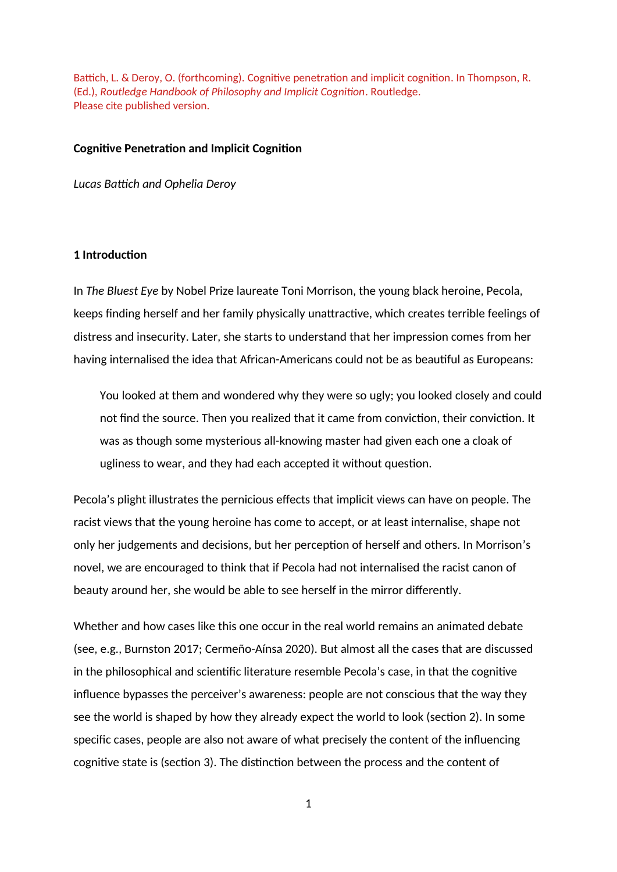Battich, L. & Deroy, O. (forthcoming). Cognitive penetration and implicit cognition. In Thompson, R. (Ed.), *Routledge Handbook of Philosophy and Implicit Cognition*. Routledge. Please cite published version.

#### **Cognitive Penetration and Implicit Cognition**

*Lucas Battich and Ophelia Deroy*

## **1 Introduction**

In *The Bluest Eye* by Nobel Prize laureate Toni Morrison, the young black heroine, Pecola, keeps finding herself and her family physically unattractive, which creates terrible feelings of distress and insecurity. Later, she starts to understand that her impression comes from her having internalised the idea that African-Americans could not be as beautiful as Europeans:

You looked at them and wondered why they were so ugly; you looked closely and could not find the source. Then you realized that it came from conviction, their conviction. It was as though some mysterious all-knowing master had given each one a cloak of ugliness to wear, and they had each accepted it without question.

Pecola's plight illustrates the pernicious effects that implicit views can have on people. The racist views that the young heroine has come to accept, or at least internalise, shape not only her judgements and decisions, but her perception of herself and others. In Morrison's novel, we are encouraged to think that if Pecola had not internalised the racist canon of beauty around her, she would be able to see herself in the mirror differently.

Whether and how cases like this one occur in the real world remains an animated debate (see, e.g., Burnston 2017; Cermeño-Aínsa 2020). But almost all the cases that are discussed in the philosophical and scientific literature resemble Pecola's case, in that the cognitive influence bypasses the perceiver's awareness: people are not conscious that the way they see the world is shaped by how they already expect the world to look (section 2). In some specific cases, people are also not aware of what precisely the content of the influencing cognitive state is (section 3). The distinction between the process and the content of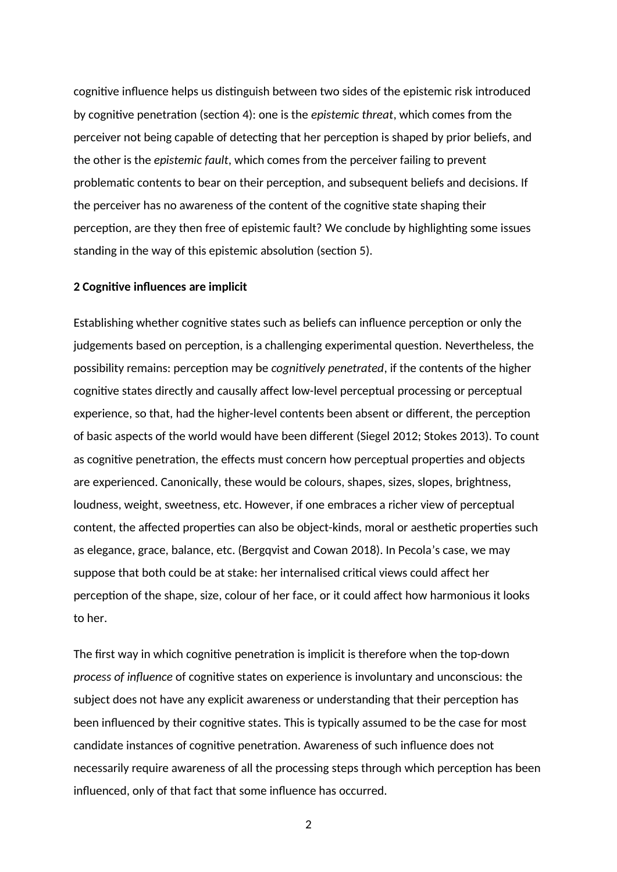cognitive influence helps us distinguish between two sides of the epistemic risk introduced by cognitive penetration (section 4): one is the *epistemic threat*, which comes from the perceiver not being capable of detecting that her perception is shaped by prior beliefs, and the other is the *epistemic fault*, which comes from the perceiver failing to prevent problematic contents to bear on their perception, and subsequent beliefs and decisions. If the perceiver has no awareness of the content of the cognitive state shaping their perception, are they then free of epistemic fault? We conclude by highlighting some issues standing in the way of this epistemic absolution (section 5).

#### **2 Cognitive influences are implicit**

Establishing whether cognitive states such as beliefs can influence perception or only the judgements based on perception, is a challenging experimental question. Nevertheless, the possibility remains: perception may be *cognitively penetrated*, if the contents of the higher cognitive states directly and causally affect low-level perceptual processing or perceptual experience, so that, had the higher-level contents been absent or different, the perception of basic aspects of the world would have been different (Siegel 2012; Stokes 2013). To count as cognitive penetration, the effects must concern how perceptual properties and objects are experienced. Canonically, these would be colours, shapes, sizes, slopes, brightness, loudness, weight, sweetness, etc. However, if one embraces a richer view of perceptual content, the affected properties can also be object-kinds, moral or aesthetic properties such as elegance, grace, balance, etc. (Bergqvist and Cowan 2018). In Pecola's case, we may suppose that both could be at stake: her internalised critical views could affect her perception of the shape, size, colour of her face, or it could affect how harmonious it looks to her.

The first way in which cognitive penetration is implicit is therefore when the top-down *process of influence* of cognitive states on experience is involuntary and unconscious: the subject does not have any explicit awareness or understanding that their perception has been influenced by their cognitive states. This is typically assumed to be the case for most candidate instances of cognitive penetration. Awareness of such influence does not necessarily require awareness of all the processing steps through which perception has been influenced, only of that fact that some influence has occurred.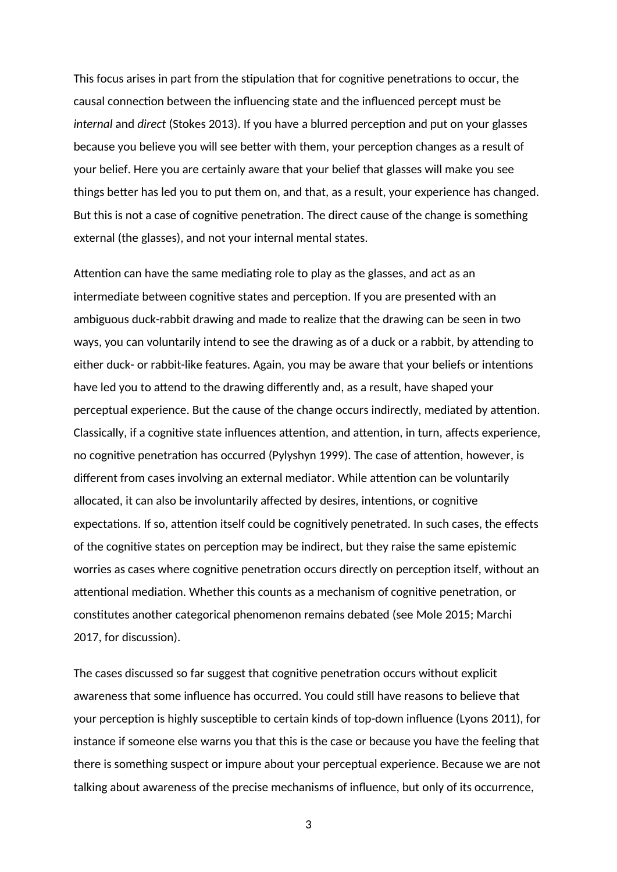This focus arises in part from the stipulation that for cognitive penetrations to occur, the causal connection between the influencing state and the influenced percept must be *internal* and *direct* (Stokes 2013). If you have a blurred perception and put on your glasses because you believe you will see better with them, your perception changes as a result of your belief. Here you are certainly aware that your belief that glasses will make you see things better has led you to put them on, and that, as a result, your experience has changed. But this is not a case of cognitive penetration. The direct cause of the change is something external (the glasses), and not your internal mental states.

Attention can have the same mediating role to play as the glasses, and act as an intermediate between cognitive states and perception. If you are presented with an ambiguous duck-rabbit drawing and made to realize that the drawing can be seen in two ways, you can voluntarily intend to see the drawing as of a duck or a rabbit, by attending to either duck- or rabbit-like features. Again, you may be aware that your beliefs or intentions have led you to attend to the drawing differently and, as a result, have shaped your perceptual experience. But the cause of the change occurs indirectly, mediated by attention. Classically, if a cognitive state influences attention, and attention, in turn, affects experience, no cognitive penetration has occurred (Pylyshyn 1999). The case of attention, however, is different from cases involving an external mediator. While attention can be voluntarily allocated, it can also be involuntarily affected by desires, intentions, or cognitive expectations. If so, attention itself could be cognitively penetrated. In such cases, the effects of the cognitive states on perception may be indirect, but they raise the same epistemic worries as cases where cognitive penetration occurs directly on perception itself, without an attentional mediation. Whether this counts as a mechanism of cognitive penetration, or constitutes another categorical phenomenon remains debated (see Mole 2015; Marchi 2017, for discussion).

The cases discussed so far suggest that cognitive penetration occurs without explicit awareness that some influence has occurred. You could still have reasons to believe that your perception is highly susceptible to certain kinds of top-down influence (Lyons 2011), for instance if someone else warns you that this is the case or because you have the feeling that there is something suspect or impure about your perceptual experience. Because we are not talking about awareness of the precise mechanisms of influence, but only of its occurrence,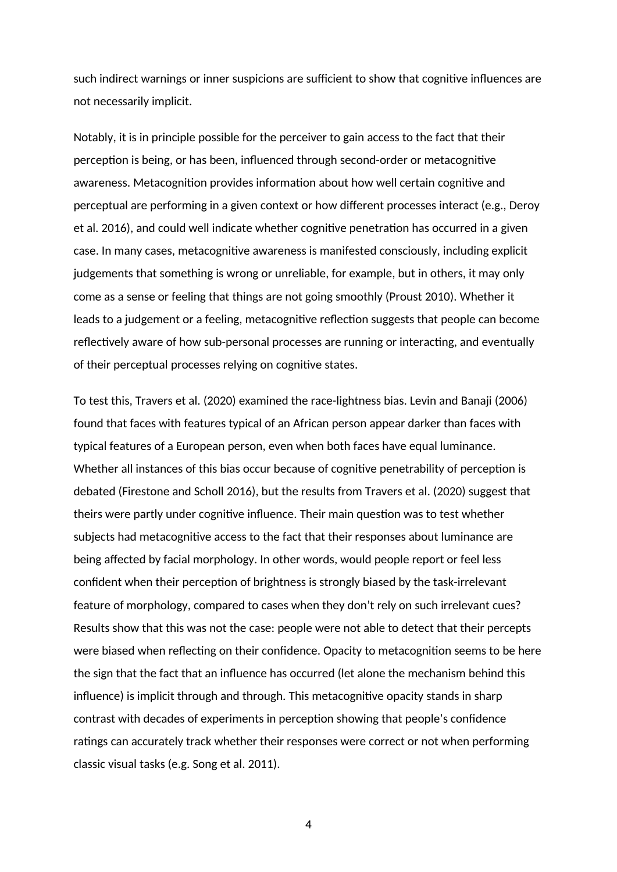such indirect warnings or inner suspicions are sufficient to show that cognitive influences are not necessarily implicit.

Notably, it is in principle possible for the perceiver to gain access to the fact that their perception is being, or has been, influenced through second-order or metacognitive awareness. Metacognition provides information about how well certain cognitive and perceptual are performing in a given context or how different processes interact (e.g., Deroy et al. 2016), and could well indicate whether cognitive penetration has occurred in a given case. In many cases, metacognitive awareness is manifested consciously, including explicit judgements that something is wrong or unreliable, for example, but in others, it may only come as a sense or feeling that things are not going smoothly (Proust 2010). Whether it leads to a judgement or a feeling, metacognitive reflection suggests that people can become reflectively aware of how sub-personal processes are running or interacting, and eventually of their perceptual processes relying on cognitive states.

To test this, Travers et al. (2020) examined the race-lightness bias. Levin and Banaji (2006) found that faces with features typical of an African person appear darker than faces with typical features of a European person, even when both faces have equal luminance. Whether all instances of this bias occur because of cognitive penetrability of perception is debated (Firestone and Scholl 2016), but the results from Travers et al. (2020) suggest that theirs were partly under cognitive influence. Their main question was to test whether subjects had metacognitive access to the fact that their responses about luminance are being affected by facial morphology. In other words, would people report or feel less confident when their perception of brightness is strongly biased by the task-irrelevant feature of morphology, compared to cases when they don't rely on such irrelevant cues? Results show that this was not the case: people were not able to detect that their percepts were biased when reflecting on their confidence. Opacity to metacognition seems to be here the sign that the fact that an influence has occurred (let alone the mechanism behind this influence) is implicit through and through. This metacognitive opacity stands in sharp contrast with decades of experiments in perception showing that people's confidence ratings can accurately track whether their responses were correct or not when performing classic visual tasks (e.g. Song et al. 2011).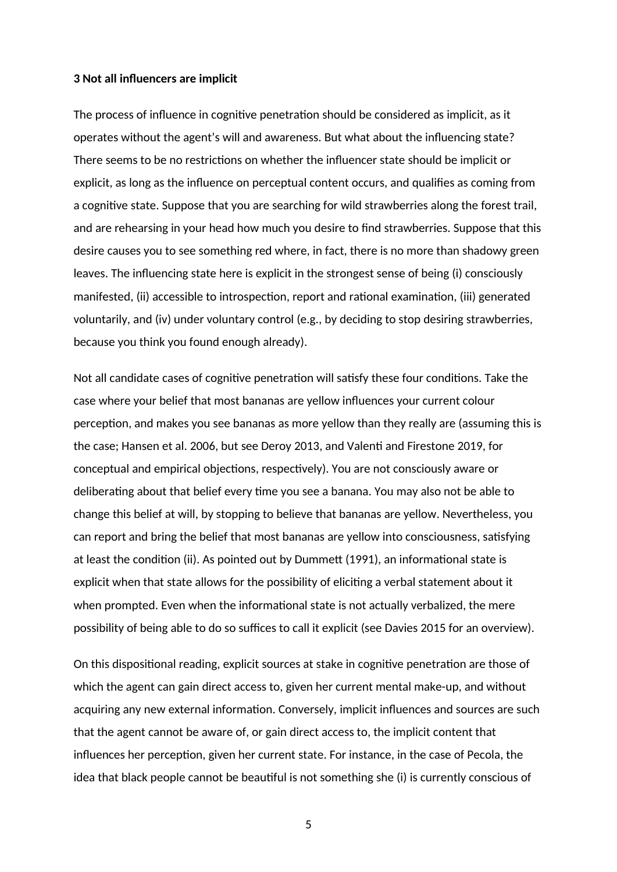### **3 Not all influencers are implicit**

The process of influence in cognitive penetration should be considered as implicit, as it operates without the agent's will and awareness. But what about the influencing state? There seems to be no restrictions on whether the influencer state should be implicit or explicit, as long as the influence on perceptual content occurs, and qualifies as coming from a cognitive state. Suppose that you are searching for wild strawberries along the forest trail, and are rehearsing in your head how much you desire to find strawberries. Suppose that this desire causes you to see something red where, in fact, there is no more than shadowy green leaves. The influencing state here is explicit in the strongest sense of being (i) consciously manifested, (ii) accessible to introspection, report and rational examination, (iii) generated voluntarily, and (iv) under voluntary control (e.g., by deciding to stop desiring strawberries, because you think you found enough already).

Not all candidate cases of cognitive penetration will satisfy these four conditions. Take the case where your belief that most bananas are yellow influences your current colour perception, and makes you see bananas as more yellow than they really are (assuming this is the case; Hansen et al. 2006, but see Deroy 2013, and Valenti and Firestone 2019, for conceptual and empirical objections, respectively). You are not consciously aware or deliberating about that belief every time you see a banana. You may also not be able to change this belief at will, by stopping to believe that bananas are yellow. Nevertheless, you can report and bring the belief that most bananas are yellow into consciousness, satisfying at least the condition (ii). As pointed out by Dummett (1991), an informational state is explicit when that state allows for the possibility of eliciting a verbal statement about it when prompted. Even when the informational state is not actually verbalized, the mere possibility of being able to do so suffices to call it explicit (see Davies 2015 for an overview).

On this dispositional reading, explicit sources at stake in cognitive penetration are those of which the agent can gain direct access to, given her current mental make-up, and without acquiring any new external information. Conversely, implicit influences and sources are such that the agent cannot be aware of, or gain direct access to, the implicit content that influences her perception, given her current state. For instance, in the case of Pecola, the idea that black people cannot be beautiful is not something she (i) is currently conscious of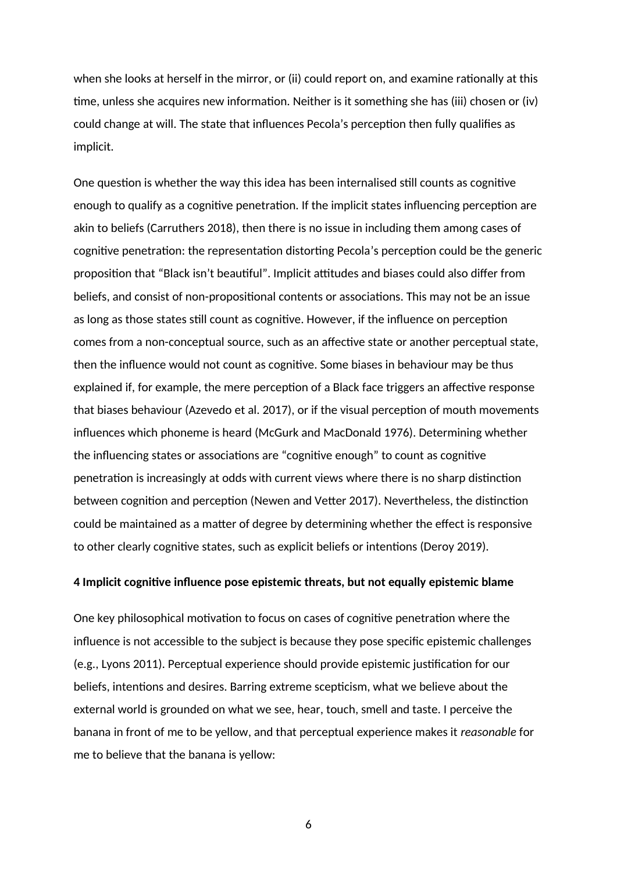when she looks at herself in the mirror, or (ii) could report on, and examine rationally at this time, unless she acquires new information. Neither is it something she has (iii) chosen or (iv) could change at will. The state that influences Pecola's perception then fully qualifies as implicit.

One question is whether the way this idea has been internalised still counts as cognitive enough to qualify as a cognitive penetration. If the implicit states influencing perception are akin to beliefs (Carruthers 2018), then there is no issue in including them among cases of cognitive penetration: the representation distorting Pecola's perception could be the generic proposition that "Black isn't beautiful". Implicit attitudes and biases could also differ from beliefs, and consist of non-propositional contents or associations. This may not be an issue as long as those states still count as cognitive. However, if the influence on perception comes from a non-conceptual source, such as an affective state or another perceptual state, then the influence would not count as cognitive. Some biases in behaviour may be thus explained if, for example, the mere perception of a Black face triggers an affective response that biases behaviour (Azevedo et al. 2017), or if the visual perception of mouth movements influences which phoneme is heard (McGurk and MacDonald 1976). Determining whether the influencing states or associations are "cognitive enough" to count as cognitive penetration is increasingly at odds with current views where there is no sharp distinction between cognition and perception (Newen and Vetter 2017). Nevertheless, the distinction could be maintained as a matter of degree by determining whether the effect is responsive to other clearly cognitive states, such as explicit beliefs or intentions (Deroy 2019).

# **4 Implicit cognitive influence pose epistemic threats, but not equally epistemic blame**

One key philosophical motivation to focus on cases of cognitive penetration where the influence is not accessible to the subject is because they pose specific epistemic challenges (e.g., Lyons 2011). Perceptual experience should provide epistemic justification for our beliefs, intentions and desires. Barring extreme scepticism, what we believe about the external world is grounded on what we see, hear, touch, smell and taste. I perceive the banana in front of me to be yellow, and that perceptual experience makes it *reasonable* for me to believe that the banana is yellow: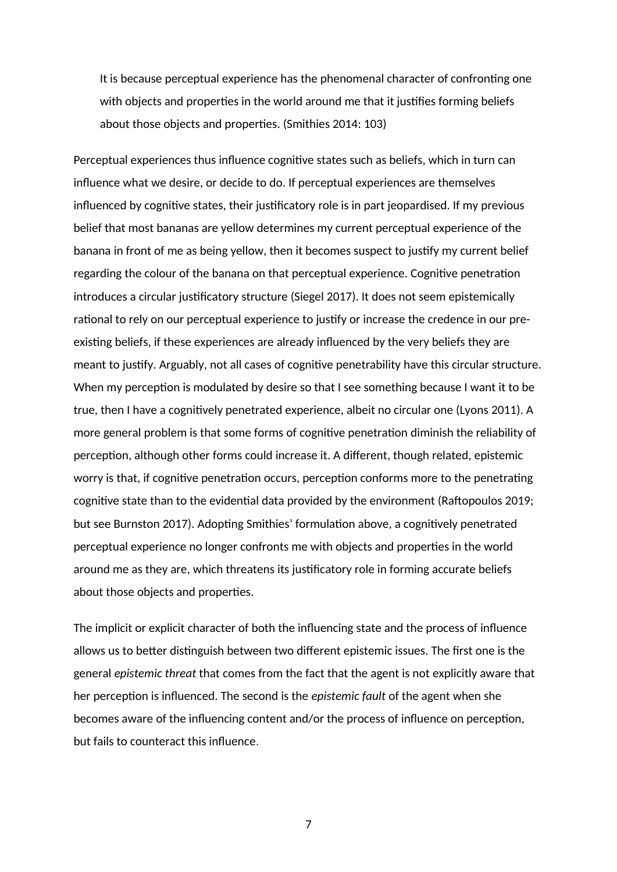It is because perceptual experience has the phenomenal character of confronting one with objects and properties in the world around me that it justifies forming beliefs about those objects and properties. (Smithies 2014: 103)

Perceptual experiences thus influence cognitive states such as beliefs, which in turn can influence what we desire, or decide to do. If perceptual experiences are themselves influenced by cognitive states, their justificatory role is in part jeopardised. If my previous belief that most bananas are yellow determines my current perceptual experience of the banana in front of me as being yellow, then it becomes suspect to justify my current belief regarding the colour of the banana on that perceptual experience. Cognitive penetration introduces a circular justificatory structure (Siegel 2017). It does not seem epistemically rational to rely on our perceptual experience to justify or increase the credence in our preexisting beliefs, if these experiences are already influenced by the very beliefs they are meant to justify. Arguably, not all cases of cognitive penetrability have this circular structure. When my perception is modulated by desire so that I see something because I want it to be true, then I have a cognitively penetrated experience, albeit no circular one (Lyons 2011). A more general problem is that some forms of cognitive penetration diminish the reliability of perception, although other forms could increase it. A different, though related, epistemic worry is that, if cognitive penetration occurs, perception conforms more to the penetrating cognitive state than to the evidential data provided by the environment (Raftopoulos 2019; but see Burnston 2017). Adopting Smithies' formulation above, a cognitively penetrated perceptual experience no longer confronts me with objects and properties in the world around me as they are, which threatens its justificatory role in forming accurate beliefs about those objects and properties.

The implicit or explicit character of both the influencing state and the process of influence allows us to better distinguish between two different epistemic issues. The first one is the general *epistemic threat* that comes from the fact that the agent is not explicitly aware that her perception is influenced. The second is the *epistemic fault* of the agent when she becomes aware of the influencing content and/or the process of influence on perception, but fails to counteract this influence.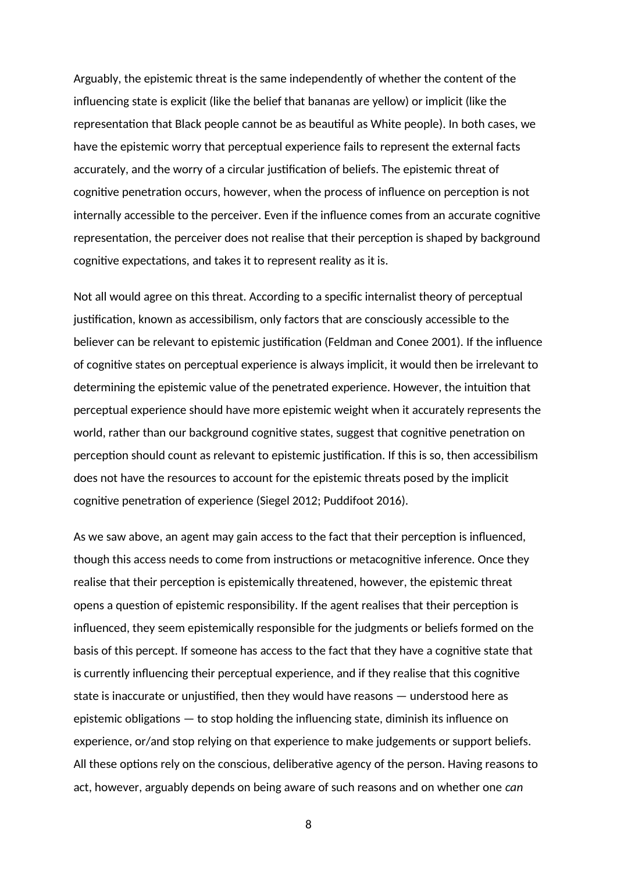Arguably, the epistemic threat is the same independently of whether the content of the influencing state is explicit (like the belief that bananas are yellow) or implicit (like the representation that Black people cannot be as beautiful as White people). In both cases, we have the epistemic worry that perceptual experience fails to represent the external facts accurately, and the worry of a circular justification of beliefs. The epistemic threat of cognitive penetration occurs, however, when the process of influence on perception is not internally accessible to the perceiver. Even if the influence comes from an accurate cognitive representation, the perceiver does not realise that their perception is shaped by background cognitive expectations, and takes it to represent reality as it is.

Not all would agree on this threat. According to a specific internalist theory of perceptual justification, known as accessibilism, only factors that are consciously accessible to the believer can be relevant to epistemic justification (Feldman and Conee 2001). If the influence of cognitive states on perceptual experience is always implicit, it would then be irrelevant to determining the epistemic value of the penetrated experience. However, the intuition that perceptual experience should have more epistemic weight when it accurately represents the world, rather than our background cognitive states, suggest that cognitive penetration on perception should count as relevant to epistemic justification. If this is so, then accessibilism does not have the resources to account for the epistemic threats posed by the implicit cognitive penetration of experience (Siegel 2012; Puddifoot 2016).

As we saw above, an agent may gain access to the fact that their perception is influenced, though this access needs to come from instructions or metacognitive inference. Once they realise that their perception is epistemically threatened, however, the epistemic threat opens a question of epistemic responsibility. If the agent realises that their perception is influenced, they seem epistemically responsible for the judgments or beliefs formed on the basis of this percept. If someone has access to the fact that they have a cognitive state that is currently influencing their perceptual experience, and if they realise that this cognitive state is inaccurate or unjustified, then they would have reasons — understood here as epistemic obligations — to stop holding the influencing state, diminish its influence on experience, or/and stop relying on that experience to make judgements or support beliefs. All these options rely on the conscious, deliberative agency of the person. Having reasons to act, however, arguably depends on being aware of such reasons and on whether one *can*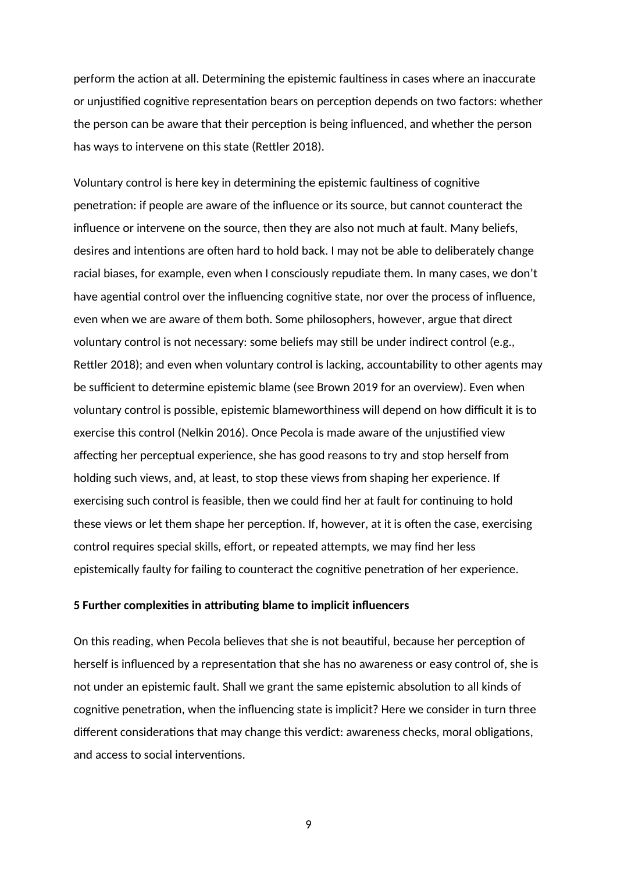perform the action at all. Determining the epistemic faultiness in cases where an inaccurate or unjustified cognitive representation bears on perception depends on two factors: whether the person can be aware that their perception is being influenced, and whether the person has ways to intervene on this state (Rettler 2018).

Voluntary control is here key in determining the epistemic faultiness of cognitive penetration: if people are aware of the influence or its source, but cannot counteract the influence or intervene on the source, then they are also not much at fault. Many beliefs, desires and intentions are often hard to hold back. I may not be able to deliberately change racial biases, for example, even when I consciously repudiate them. In many cases, we don't have agential control over the influencing cognitive state, nor over the process of influence, even when we are aware of them both. Some philosophers, however, argue that direct voluntary control is not necessary: some beliefs may still be under indirect control (e.g., Rettler 2018); and even when voluntary control is lacking, accountability to other agents may be sufficient to determine epistemic blame (see Brown 2019 for an overview). Even when voluntary control is possible, epistemic blameworthiness will depend on how difficult it is to exercise this control (Nelkin 2016). Once Pecola is made aware of the unjustified view affecting her perceptual experience, she has good reasons to try and stop herself from holding such views, and, at least, to stop these views from shaping her experience. If exercising such control is feasible, then we could find her at fault for continuing to hold these views or let them shape her perception. If, however, at it is often the case, exercising control requires special skills, effort, or repeated attempts, we may find her less epistemically faulty for failing to counteract the cognitive penetration of her experience.

## **5 Further complexities in attributing blame to implicit influencers**

On this reading, when Pecola believes that she is not beautiful, because her perception of herself is influenced by a representation that she has no awareness or easy control of, she is not under an epistemic fault. Shall we grant the same epistemic absolution to all kinds of cognitive penetration, when the influencing state is implicit? Here we consider in turn three different considerations that may change this verdict: awareness checks, moral obligations, and access to social interventions.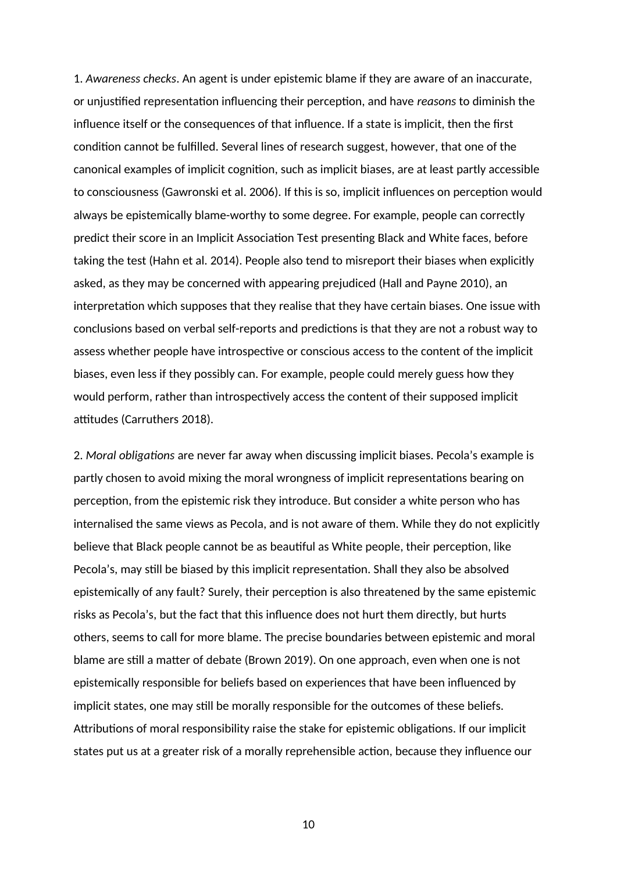1. *Awareness checks*. An agent is under epistemic blame if they are aware of an inaccurate, or unjustified representation influencing their perception, and have *reasons* to diminish the influence itself or the consequences of that influence. If a state is implicit, then the first condition cannot be fulfilled. Several lines of research suggest, however, that one of the canonical examples of implicit cognition, such as implicit biases, are at least partly accessible to consciousness (Gawronski et al. 2006). If this is so, implicit influences on perception would always be epistemically blame-worthy to some degree. For example, people can correctly predict their score in an Implicit Association Test presenting Black and White faces, before taking the test (Hahn et al. 2014). People also tend to misreport their biases when explicitly asked, as they may be concerned with appearing prejudiced (Hall and Payne 2010), an interpretation which supposes that they realise that they have certain biases. One issue with conclusions based on verbal self-reports and predictions is that they are not a robust way to assess whether people have introspective or conscious access to the content of the implicit biases, even less if they possibly can. For example, people could merely guess how they would perform, rather than introspectively access the content of their supposed implicit attitudes (Carruthers 2018).

2. *Moral obligations* are never far away when discussing implicit biases. Pecola's example is partly chosen to avoid mixing the moral wrongness of implicit representations bearing on perception, from the epistemic risk they introduce. But consider a white person who has internalised the same views as Pecola, and is not aware of them. While they do not explicitly believe that Black people cannot be as beautiful as White people, their perception, like Pecola's, may still be biased by this implicit representation. Shall they also be absolved epistemically of any fault? Surely, their perception is also threatened by the same epistemic risks as Pecola's, but the fact that this influence does not hurt them directly, but hurts others, seems to call for more blame. The precise boundaries between epistemic and moral blame are still a matter of debate (Brown 2019). On one approach, even when one is not epistemically responsible for beliefs based on experiences that have been influenced by implicit states, one may still be morally responsible for the outcomes of these beliefs. Attributions of moral responsibility raise the stake for epistemic obligations. If our implicit states put us at a greater risk of a morally reprehensible action, because they influence our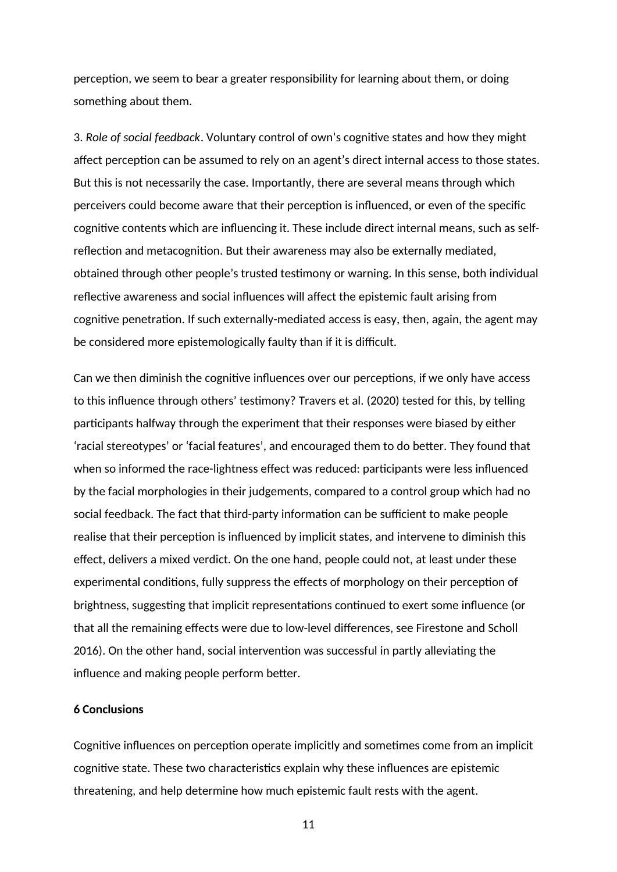perception, we seem to bear a greater responsibility for learning about them, or doing something about them.

3. *Role of social feedback*. Voluntary control of own's cognitive states and how they might affect perception can be assumed to rely on an agent's direct internal access to those states. But this is not necessarily the case. Importantly, there are several means through which perceivers could become aware that their perception is influenced, or even of the specific cognitive contents which are influencing it. These include direct internal means, such as selfreflection and metacognition. But their awareness may also be externally mediated, obtained through other people's trusted testimony or warning. In this sense, both individual reflective awareness and social influences will affect the epistemic fault arising from cognitive penetration. If such externally-mediated access is easy, then, again, the agent may be considered more epistemologically faulty than if it is difficult.

Can we then diminish the cognitive influences over our perceptions, if we only have access to this influence through others' testimony? Travers et al. (2020) tested for this, by telling participants halfway through the experiment that their responses were biased by either 'racial stereotypes' or 'facial features', and encouraged them to do better. They found that when so informed the race-lightness effect was reduced: participants were less influenced by the facial morphologies in their judgements, compared to a control group which had no social feedback. The fact that third-party information can be sufficient to make people realise that their perception is influenced by implicit states, and intervene to diminish this effect, delivers a mixed verdict. On the one hand, people could not, at least under these experimental conditions, fully suppress the effects of morphology on their perception of brightness, suggesting that implicit representations continued to exert some influence (or that all the remaining effects were due to low-level differences, see Firestone and Scholl 2016). On the other hand, social intervention was successful in partly alleviating the influence and making people perform better.

# **6 Conclusions**

Cognitive influences on perception operate implicitly and sometimes come from an implicit cognitive state. These two characteristics explain why these influences are epistemic threatening, and help determine how much epistemic fault rests with the agent.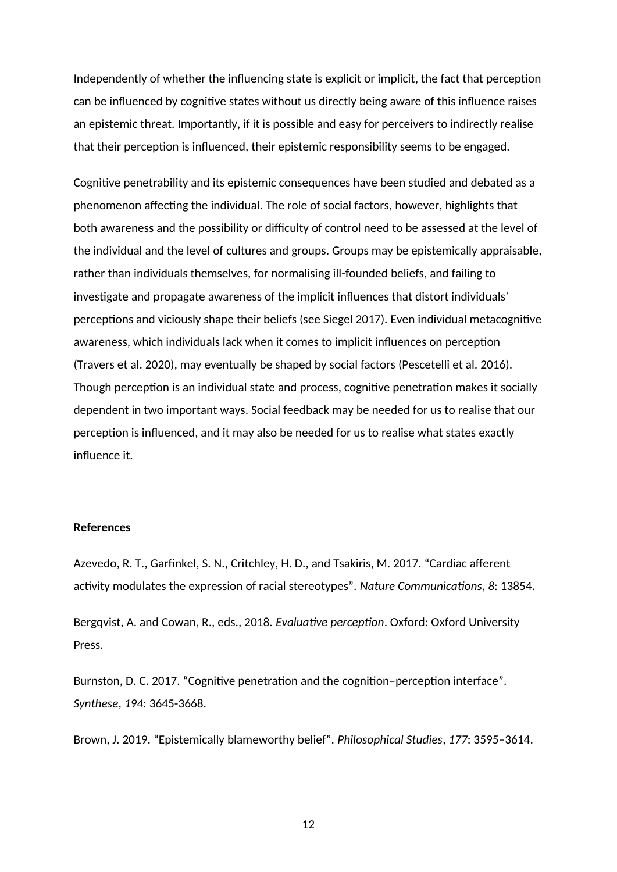Independently of whether the influencing state is explicit or implicit, the fact that perception can be influenced by cognitive states without us directly being aware of this influence raises an epistemic threat. Importantly, if it is possible and easy for perceivers to indirectly realise that their perception is influenced, their epistemic responsibility seems to be engaged.

Cognitive penetrability and its epistemic consequences have been studied and debated as a phenomenon affecting the individual. The role of social factors, however, highlights that both awareness and the possibility or difficulty of control need to be assessed at the level of the individual and the level of cultures and groups. Groups may be epistemically appraisable, rather than individuals themselves, for normalising ill-founded beliefs, and failing to investigate and propagate awareness of the implicit influences that distort individuals' perceptions and viciously shape their beliefs (see Siegel 2017). Even individual metacognitive awareness, which individuals lack when it comes to implicit influences on perception (Travers et al. 2020), may eventually be shaped by social factors (Pescetelli et al. 2016). Though perception is an individual state and process, cognitive penetration makes it socially dependent in two important ways. Social feedback may be needed for us to realise that our perception is influenced, and it may also be needed for us to realise what states exactly influence it.

### **References**

Azevedo, R. T., Garfinkel, S. N., Critchley, H. D., and Tsakiris, M. 2017. "Cardiac afferent activity modulates the expression of racial stereotypes". *Nature Communications*, *8*: 13854.

Bergqvist, A. and Cowan, R., eds., 2018. *Evaluative perception*. Oxford: Oxford University Press.

Burnston, D. C. 2017. "Cognitive penetration and the cognition–perception interface". *Synthese*, *194*: 3645-3668.

Brown, J. 2019. "Epistemically blameworthy belief". *Philosophical Studies*, *177*: 3595–3614.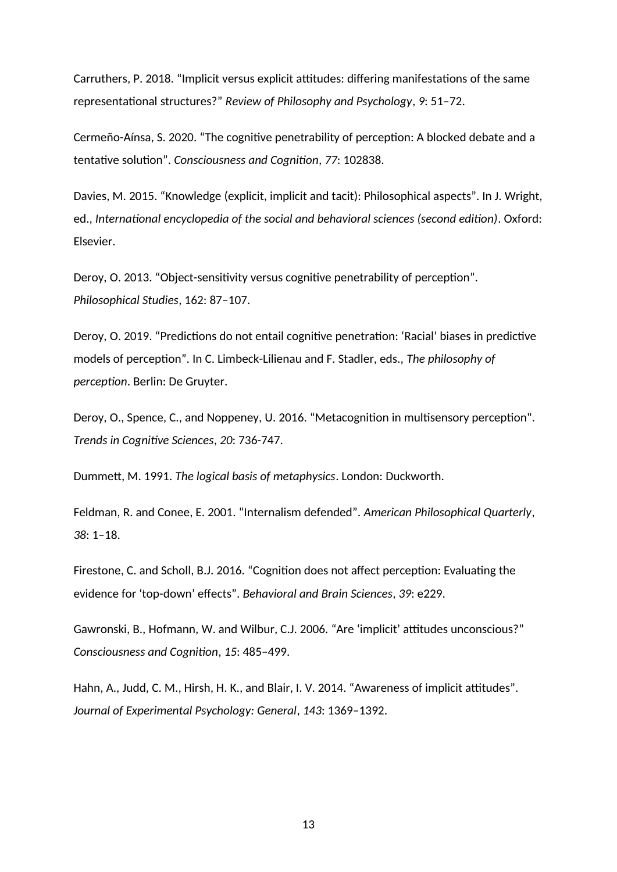Carruthers, P. 2018. "Implicit versus explicit attitudes: differing manifestations of the same representational structures?" *Review of Philosophy and Psychology*, *9*: 51–72.

Cermeño-Aínsa, S. 2020. "The cognitive penetrability of perception: A blocked debate and a tentative solution". *Consciousness and Cognition*, *77*: 102838.

Davies, M. 2015. "Knowledge (explicit, implicit and tacit): Philosophical aspects". In J. Wright, ed., *International encyclopedia of the social and behavioral sciences (second edition)*. Oxford: Elsevier.

Deroy, O. 2013. "Object-sensitivity versus cognitive penetrability of perception". *Philosophical Studies*, 162: 87–107.

Deroy, O. 2019. "Predictions do not entail cognitive penetration: 'Racial' biases in predictive models of perception". In C. Limbeck-Lilienau and F. Stadler, eds., *The philosophy of perception*. Berlin: De Gruyter.

Deroy, O., Spence, C., and Noppeney, U. 2016. "Metacognition in multisensory perception". *Trends in Cognitive Sciences*, *20*: 736-747.

Dummett, M. 1991. *The logical basis of metaphysics*. London: Duckworth.

Feldman, R. and Conee, E. 2001. "Internalism defended". *American Philosophical Quarterly*, *38*: 1–18.

Firestone, C. and Scholl, B.J. 2016. "Cognition does not affect perception: Evaluating the evidence for 'top-down' effects". *Behavioral and Brain Sciences*, *39*: e229.

Gawronski, B., Hofmann, W. and Wilbur, C.J. 2006. "Are 'implicit' attitudes unconscious?" *Consciousness and Cognition*, *15*: 485–499.

Hahn, A., Judd, C. M., Hirsh, H. K., and Blair, I. V. 2014. "Awareness of implicit attitudes". *Journal of Experimental Psychology: General*, *143*: 1369–1392.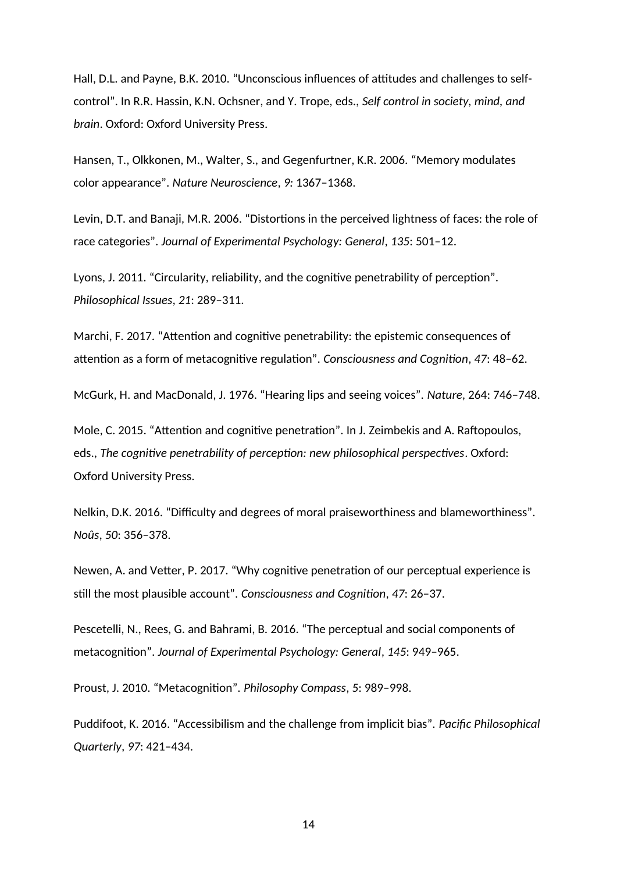Hall, D.L. and Payne, B.K. 2010. "Unconscious influences of attitudes and challenges to selfcontrol". In R.R. Hassin, K.N. Ochsner, and Y. Trope, eds., *Self control in society, mind, and brain*. Oxford: Oxford University Press.

Hansen, T., Olkkonen, M., Walter, S., and Gegenfurtner, K.R. 2006. "Memory modulates color appearance". *Nature Neuroscience*, *9:* 1367–1368.

Levin, D.T. and Banaji, M.R. 2006. "Distortions in the perceived lightness of faces: the role of race categories". *Journal of Experimental Psychology: General*, *135*: 501–12.

Lyons, J. 2011. "Circularity, reliability, and the cognitive penetrability of perception". *Philosophical Issues*, *21*: 289–311.

Marchi, F. 2017. "Attention and cognitive penetrability: the epistemic consequences of attention as a form of metacognitive regulation". *Consciousness and Cognition*, *47*: 48–62.

McGurk, H. and MacDonald, J. 1976. "Hearing lips and seeing voices". *Nature*, 264: 746–748.

Mole, C. 2015. "Attention and cognitive penetration". In J. Zeimbekis and A. Raftopoulos, eds., *The cognitive penetrability of perception: new philosophical perspectives*. Oxford: Oxford University Press.

Nelkin, D.K. 2016. "Difficulty and degrees of moral praiseworthiness and blameworthiness". *Noûs*, *50*: 356–378.

Newen, A. and Vetter, P. 2017. "Why cognitive penetration of our perceptual experience is still the most plausible account". *Consciousness and Cognition*, *47*: 26–37.

Pescetelli, N., Rees, G. and Bahrami, B. 2016. "The perceptual and social components of metacognition". *Journal of Experimental Psychology: General*, *145*: 949–965.

Proust, J. 2010. "Metacognition". *Philosophy Compass*, *5*: 989–998.

Puddifoot, K. 2016. "Accessibilism and the challenge from implicit bias". *Pacific Philosophical Quarterly*, *97*: 421–434.